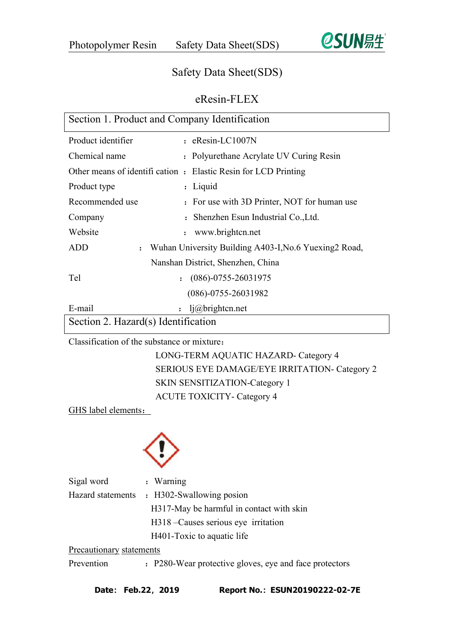

# Safety Data Sheet(SDS)

# eResin-FLEX

| Section 1. Product and Company Identification |                                                                |
|-----------------------------------------------|----------------------------------------------------------------|
| Product identifier                            | $:$ eResin-LC1007N                                             |
| Chemical name                                 | : Polyurethane Acrylate UV Curing Resin                        |
|                                               | Other means of identification : Elastic Resin for LCD Printing |
| Product type                                  | : Liquid                                                       |
| Recommended use                               | : For use with 3D Printer, NOT for human use                   |
| Company                                       | : Shenzhen Esun Industrial Co., Ltd.                           |
| Website                                       | www.brightcn.net                                               |
| ADD<br>$\ddot{\cdot}$                         | Wuhan University Building A403-I, No.6 Yuexing 2 Road,         |
|                                               | Nanshan District, Shenzhen, China                              |
| Tel<br>$\ddot{\cdot}$                         | $(086) - 0755 - 26031975$                                      |
|                                               | $(086) - 0755 - 26031982$                                      |
| E-mail                                        | $l$ i@brightcn.net                                             |
| Section 2. Hazard(s) Identification           |                                                                |

Classification of the substance or mixture:

LONG-TERM AQUATIC HAZARD- Category 4 SERIOUS EYE DAMAGE/EYE IRRITATION- Category 2 SKIN SENSITIZATION-Category 1 ACUTE TOXICITY- Category 4

GHS label elements:



| Sigal word               | : Warning                                              |
|--------------------------|--------------------------------------------------------|
| Hazard statements        | : H302-Swallowing posion                               |
|                          | H317-May be harmful in contact with skin               |
|                          | H318 – Causes serious eye irritation                   |
|                          | H401-Toxic to aquatic life                             |
| Precautionary statements |                                                        |
| Prevention               | : P280-Wear protective gloves, eye and face protectors |
|                          |                                                        |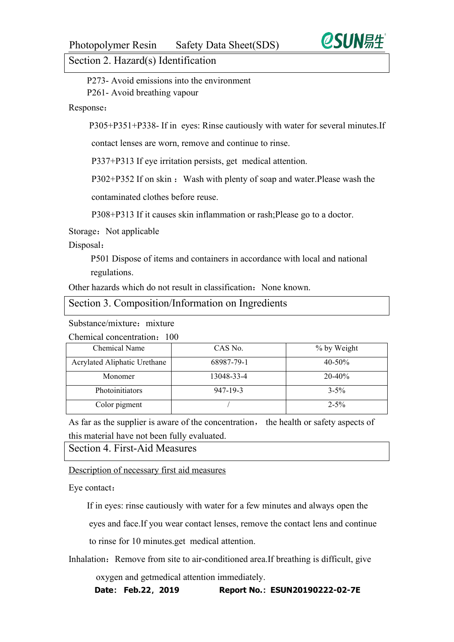## Section 2. Hazard(s) Identification

P273- Avoid emissions into the environment P261- Avoid breathing vapour

### Response:

P305+P351+P338- If in eyes: Rinse cautiously with water for several minutes.If

contact lenses are worn, remove and continue to rinse.

P337+P313 If eye irritation persists, get medical attention.

P302+P352 If on skin: Wash with plenty of soap and water. Please wash the

contaminated clothes before reuse.

P308+P313 If it causes skin inflammation or rash;Please go to a doctor.<br>Storage: Not applicable

#### Disposal:

P501 Dispose of items and containers in accordance with local and national regulations.

Other hazards which do not result in classification: None known.

#### Section 3. Composition/Information on Ingredients

Substance/mixture: mixture

Chemical concentration:100

| Chemical Name                | CAS No.        | % by Weight |
|------------------------------|----------------|-------------|
| Acrylated Aliphatic Urethane | 68987-79-1     | $40 - 50%$  |
| Monomer                      | 13048-33-4     | $20 - 40\%$ |
| <b>Photoinitiators</b>       | $947 - 19 - 3$ | $3 - 5\%$   |
| Color pigment                |                | $2 - 5\%$   |

As far as the supplier is aware of the concentration, the health or safety aspects of this material have not been fully evaluated.

Section 4. First-Aid Measures

Description of necessary first aid measures

Eye contact:

If in eyes: rinse cautiously with water for a few minutes and always open the

eyes and face.If you wear contact lenses, remove the contact lens and continue

to rinse for 10 minutes.get medical attention.

Inhalation: Remove from site to air-conditioned area.If breathing is difficult, give

oxygen and getmedical attention immediately.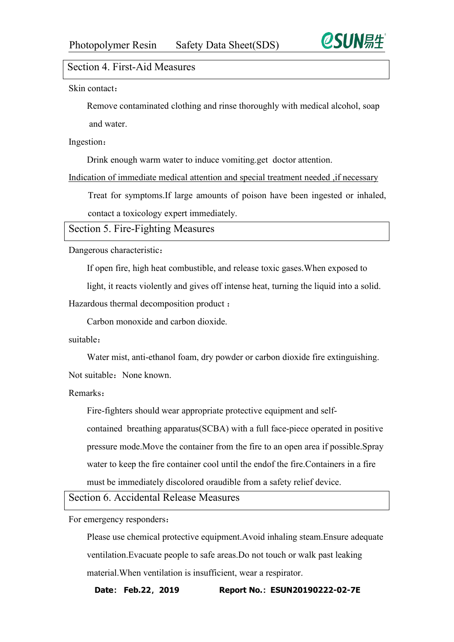

## Section 4. First-Aid Measures

Skin contact:

Remove contaminated clothing and rinse thoroughly with medical alcohol, soap and water.

Ingestion:

Drink enough warm water to induce vomiting.get doctor attention.

Indication of immediate medical attention and special treatment needed, if necessary

Treat for symptoms.If large amounts of poison have been ingested or inhaled,

contact a toxicology expert immediately.

Section 5. Fire-Fighting Measures

Dangerous characteristic:

If open fire, high heat combustible, and release toxic gases.When exposed to

light, it reacts violently and gives off intense heat, turning the liquid into a solid.

Hazardous thermal decomposition product :

Carbon monoxide and carbon dioxide.

suitable:

Water mist, anti-ethanol foam, dry powder or carbon dioxide fire extinguishing. Not suitable None known

Remarks:

Fire-fighters should wear appropriate protective equipment and self-

contained breathing apparatus(SCBA) with a full face-piece operated in positive pressure mode.Move the container from the fire to an open area if possible.Spray water to keep the fire container cool until the endof the fire.Containers in a fire must be immediately discolored oraudible from a safety relief device.

Section 6. Accidental Release Measures

For emergency responders:

Please use chemical protective equipment.Avoid inhaling steam.Ensure adequate ventilation.Evacuate people to safe areas.Do not touch or walk past leaking material.When ventilation is insufficient, wear a respirator.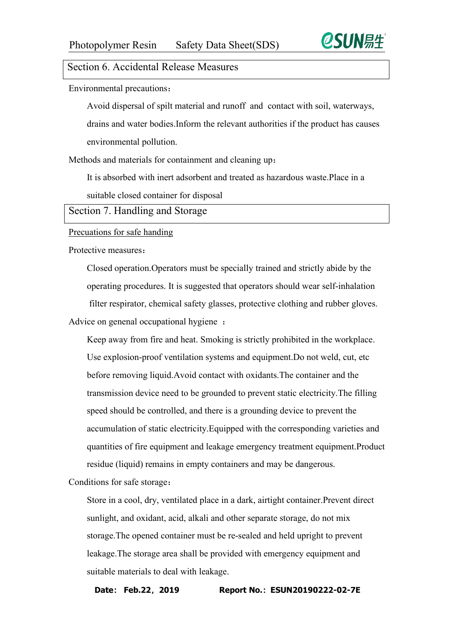

## Section 6. Accidental Release Measures

Environmental precautions:

Avoid dispersal of spilt material and runoff and contact with soil, waterways, drains and water bodies.Inform the relevant authorities if the product has causes environmental pollution.

Methods and materials for containment and cleaning up:

It is absorbed with inert adsorbent and treated as hazardous waste.Place in a suitable closed container for disposal

Section 7. Handling and Storage

#### Precuations for safe handing

Protective measures:

Closed operation.Operators must be specially trained and strictly abide by the operating procedures. It is suggested that operators should wear self-inhalation filter respirator, chemical safety glasses, protective clothing and rubber gloves. Advice on genenal occupational hygiene :

Keep away from fire and heat. Smoking is strictly prohibited in the workplace. Use explosion-proof ventilation systems and equipment.Do not weld, cut, etc before removing liquid.Avoid contact with oxidants.The container and the transmission device need to be grounded to prevent static electricity.The filling speed should be controlled, and there is a grounding device to prevent the accumulation of static electricity.Equipped with the corresponding varieties and quantities of fire equipment and leakage emergency treatment equipment.Product residue (liquid) remains in empty containers and may be dangerous.

Conditions for safe storage:

Store in a cool, dry, ventilated place in a dark, airtight container.Prevent direct sunlight, and oxidant, acid, alkali and other separate storage, do not mix storage.The opened container must be re-sealed and held upright to prevent leakage.The storage area shall be provided with emergency equipment and suitable materials to deal with leakage.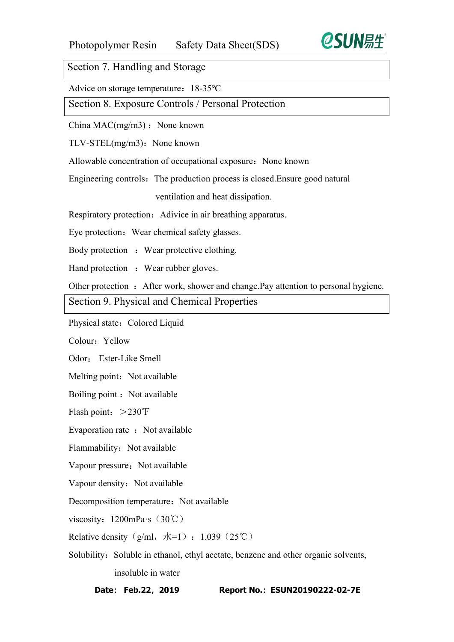

Section 7. Handling and Storage

Advice on storage temperature: 18-35℃

Section 8. Exposure Controls / Personal Protection

China  $MAC(mg/m3)$ : None known

 $TLV-STEL(mg/m3)$ : None known

Allowable concentration of occupational exposure: None known

Engineering controls: The production process is closed. Ensure good natural

ventilation and heat dissipation.

Respiratory protection: Adivice in air breathing apparatus.

Eye protection: Wear chemical safety glasses.

Body protection : Wear protective clothing.

Hand protection : Wear rubber gloves.

Other protection : After work, shower and change.Pay attention to personal hygiene.

Section 9. Physical and Chemical Properties

Physical state: Colored Liquid

Colour. Yellow

Odor: Ester-Like Smell

Melting point: Not available

Boiling point : Not available

Flash point:  $>230$ °F

Evaporation rate : Not available

Flammability: Not available

Vapour pressure: Not available

Vapour density: Not available

Decomposition temperature: Not available

viscosity:  $1200$ mPa·s $(30^{\circ}\text{C})$ 

Relative density (g/ml,  $|\mathcal{K}=1\rangle$ : 1.039 (25℃)

Solubility: Soluble in ethanol, ethyl acetate, benzene and other organic solvents, insoluble in water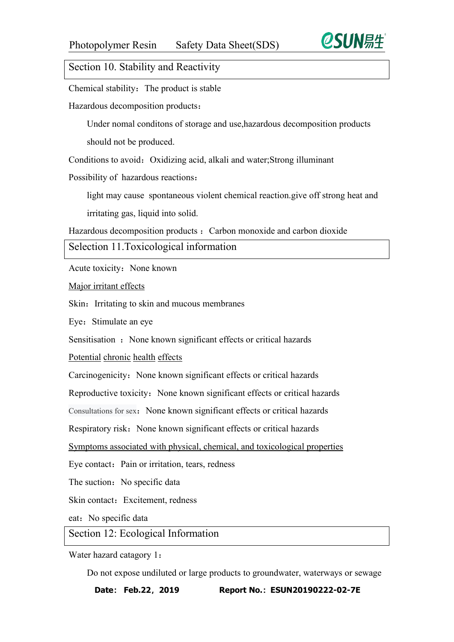

# Section 10. Stability and Reactivity

Chemical stability: The product is stable

Hazardous decomposition products:

Under nomal conditons of storage and use,hazardous decomposition products should not be produced.

Conditions to avoid: Oxidizing acid, alkali and water;Strong illuminant

Possibility of hazardous reactions:

light may cause spontaneous violent chemical reaction.give off strong heat and

irritating gas, liquid into solid.

Hazardous decomposition products : Carbon monoxide and carbon dioxide

Selection 11.Toxicological information

Acute toxicity: None known

Major irritant effects

Skin: Irritating to skin and mucous membranes

Eye: Stimulate an eye

Sensitisation : None known significant effects or critical hazards

Potential chronic health effects

Carcinogenicity: None known significant effects or critical hazards

Reproductive toxicity: None known significant effects or critical hazards

Consultations for sex: None known significant effects or critical hazards

Respiratory risk: None known significant effects or critical hazards

Symptoms associated with physical, chemical, and toxicological properties

Eye contact: Pain or irritation, tears, redness

The suction: No specific data

Skin contact: Excitement, redness

eat: No specific data

Section 12: Ecological Information

Water hazard catagory 1:

Do not expose undiluted or large products to groundwater, waterways or sewage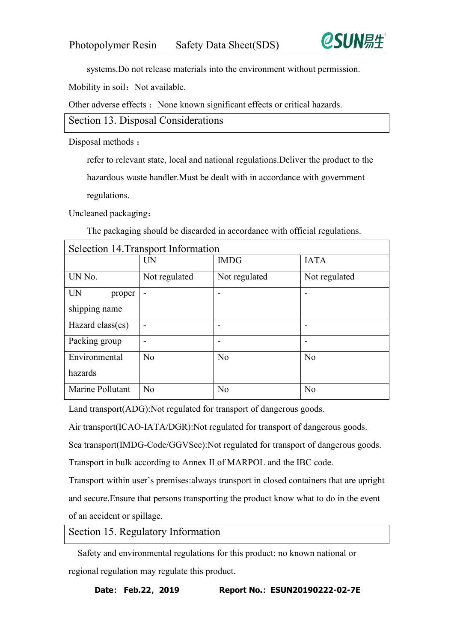

systems.Do not release materials into the environment without permission.

Mobility in soil: Not available.

Other adverse effects : None known significant effects or critical hazards.

Section 13. Disposal Considerations

Disposal methods :

refer to relevant state, local and national regulations.Deliver the product to the

hazardous waste handler.Must be dealt with in accordance with government regulations.

Uncleaned packaging:

The packaging should be discarded in accordance with official regulations.

| Selection 14. Transport Information |                          |                |                          |  |
|-------------------------------------|--------------------------|----------------|--------------------------|--|
|                                     | <b>UN</b>                | <b>IMDG</b>    | <b>IATA</b>              |  |
| UN No.                              | Not regulated            | Not regulated  | Not regulated            |  |
| <b>UN</b><br>proper                 | $\overline{\phantom{a}}$ |                |                          |  |
| shipping name                       |                          |                |                          |  |
| Hazard class(es)                    | $\overline{\phantom{a}}$ |                | $\overline{\phantom{0}}$ |  |
| Packing group                       | $\overline{\phantom{a}}$ |                | $\overline{\phantom{0}}$ |  |
| Environmental                       | N <sub>o</sub>           | N <sub>o</sub> | N <sub>o</sub>           |  |
| hazards                             |                          |                |                          |  |
| Marine Pollutant                    | No                       | N <sub>o</sub> | N <sub>o</sub>           |  |

Land transport(ADG):Not regulated for transport of dangerous goods.

Air transport(ICAO-IATA/DGR):Not regulated for transport of dangerous goods.

Sea transport(IMDG-Code/GGVSee):Not regulated for transport of dangerous goods.

Transport in bulk according to Annex II of MARPOL and the IBC code.

Transport within user's premises:always transport in closed containers that are upright and secure.Ensure that persons transporting the product know what to do in the event of an accident or spillage.

Section 15. Regulatory Information

Safety and environmental regulations for this product: no known national or regional regulation may regulate this product.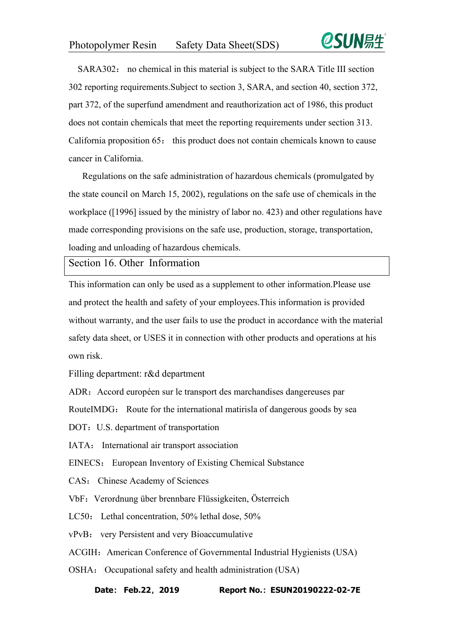

SARA302: no chemical in this material is subject to the SARA Title III section 302 reporting requirements.Subject to section 3, SARA, and section 40, section 372, part 372, of the superfund amendment and reauthorization act of 1986, this product does not contain chemicals that meet the reporting requirements under section 313. California proposition 65: this product does not contain chemicals known to cause cancer in California.

Regulations on the safe administration of hazardous chemicals (promulgated by the state council on March 15, 2002), regulations on the safe use of chemicals in the workplace ([1996] issued by the ministry of labor no. 423) and other regulations have made corresponding provisions on the safe use, production, storage, transportation, loading and unloading of hazardous chemicals.

Section 16. Other Information

This information can only be used as a supplement to other information.Please use and protect the health and safety of youremployees.This information is provided without warranty, and the user fails to use the product in accordance with the material safety data sheet, or USES it in connection with other products and operations at his own risk.

Filling department: r&d department

ADR: Accord européen sur le transport des marchandises dangereuses par

RouteIMDG: Route for the international matirisla of dangerous goods by sea

DOT: U.S. department of transportation

IATA: International air transport association

EINECS: European Inventory of Existing Chemical Substance

CAS: Chinese Academy of Sciences

VbF: Verordnung über brennbare Flüssigkeiten, Österreich

LC50: Lethal concentration, 50% lethal dose, 50%

vPvB: very Persistent and very Bioaccumulative

ACGIH: American Conference of Governmental Industrial Hygienists (USA)

OSHA: Occupational safety and health administration (USA)